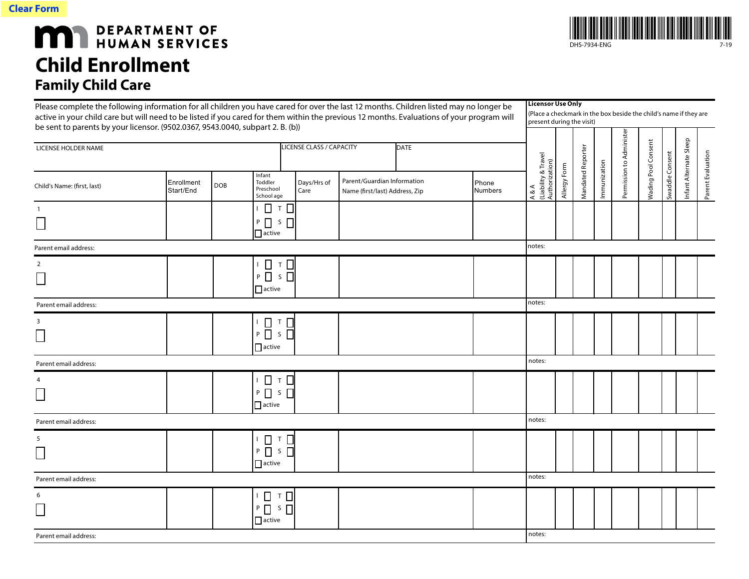

 $\sim$ 

## **MAN** DEPARTMENT OF HUMAN SERVICES **Child Enrollment Family Child Ca**

| <b>Family Child Care</b>                                                                                                                                                                                                                                                                                                                                                |                         |            |                                                     |                                         |                                                               |                                                                                                                            |                                                |              |                   |              |                          |                            |                 |                        |              |
|-------------------------------------------------------------------------------------------------------------------------------------------------------------------------------------------------------------------------------------------------------------------------------------------------------------------------------------------------------------------------|-------------------------|------------|-----------------------------------------------------|-----------------------------------------|---------------------------------------------------------------|----------------------------------------------------------------------------------------------------------------------------|------------------------------------------------|--------------|-------------------|--------------|--------------------------|----------------------------|-----------------|------------------------|--------------|
| Please complete the following information for all children you have cared for over the last 12 months. Children listed may no longer be<br>active in your child care but will need to be listed if you cared for them within the previous 12 months. Evaluations of your program will<br>be sent to parents by your licensor. (9502.0367, 9543.0040, subpart 2. B. (b)) |                         |            |                                                     |                                         |                                                               | <b>Licensor Use Only</b><br>(Place a checkmark in the box beside the child's name if they are<br>present during the visit) |                                                |              |                   |              |                          |                            |                 |                        |              |
|                                                                                                                                                                                                                                                                                                                                                                         |                         |            |                                                     |                                         |                                                               |                                                                                                                            |                                                |              |                   |              |                          |                            |                 |                        |              |
| LICENSE HOLDER NAME                                                                                                                                                                                                                                                                                                                                                     |                         |            |                                                     | LICENSE CLASS / CAPACITY<br><b>DATE</b> |                                                               |                                                                                                                            |                                                |              |                   |              |                          |                            |                 |                        |              |
| Child's Name: (first, last)                                                                                                                                                                                                                                                                                                                                             | Enrollment<br>Start/End | <b>DOB</b> | Infant<br>Toddler<br>Preschool<br>School age        | Days/Hrs of<br>Care                     | Parent/Guardian Information<br>Name (first/last) Address, Zip | Phone<br><b>Numbers</b>                                                                                                    | A & A<br>(Liability & Travel<br>Authorization) | Allergy Form | Mandated Reporter | Immunization | Permission to Administer | <b>Nading Pool Consent</b> | Swaddle Consent | Infant Alternate Sleep | Parent Evalu |
| $\mathbf{1}$                                                                                                                                                                                                                                                                                                                                                            |                         |            | $T$ $\Box$<br>$\Box$                                |                                         |                                                               |                                                                                                                            |                                                |              |                   |              |                          |                            |                 |                        |              |
| $\overline{\phantom{a}}$                                                                                                                                                                                                                                                                                                                                                |                         |            | $S \nightharpoonup$<br>$P$ $\Box$<br>$\prod$ active |                                         |                                                               |                                                                                                                            |                                                |              |                   |              |                          |                            |                 |                        |              |
| Parent email address:                                                                                                                                                                                                                                                                                                                                                   |                         |            |                                                     |                                         |                                                               |                                                                                                                            | notes:                                         |              |                   |              |                          |                            |                 |                        |              |
| $\overline{2}$                                                                                                                                                                                                                                                                                                                                                          |                         |            | <b>D ⊤ D</b>                                        |                                         |                                                               |                                                                                                                            |                                                |              |                   |              |                          |                            |                 |                        |              |
| $\Box$                                                                                                                                                                                                                                                                                                                                                                  |                         |            | $P \Box$ s $\Box$<br>$\Box$ active                  |                                         |                                                               |                                                                                                                            |                                                |              |                   |              |                          |                            |                 |                        |              |
| Parent email address:                                                                                                                                                                                                                                                                                                                                                   |                         |            |                                                     |                                         |                                                               |                                                                                                                            | notes:                                         |              |                   |              |                          |                            |                 |                        |              |
| 3                                                                                                                                                                                                                                                                                                                                                                       |                         |            | $\Box$<br>$T$ $\Box$                                |                                         |                                                               |                                                                                                                            |                                                |              |                   |              |                          |                            |                 |                        |              |
| $\Box$                                                                                                                                                                                                                                                                                                                                                                  |                         |            | $P$ $\Box$<br>$S \prod$<br>$\Box$ active            |                                         |                                                               |                                                                                                                            |                                                |              |                   |              |                          |                            |                 |                        |              |
| Parent email address:                                                                                                                                                                                                                                                                                                                                                   |                         |            |                                                     |                                         |                                                               |                                                                                                                            | notes:                                         |              |                   |              |                          |                            |                 |                        |              |
| 4                                                                                                                                                                                                                                                                                                                                                                       |                         |            | $\Box$ T $\Box$                                     |                                         |                                                               |                                                                                                                            |                                                |              |                   |              |                          |                            |                 |                        |              |
|                                                                                                                                                                                                                                                                                                                                                                         |                         |            | $P \Box S \Box$<br>$\Box$ active                    |                                         |                                                               |                                                                                                                            |                                                |              |                   |              |                          |                            |                 |                        |              |
| Parent email address:                                                                                                                                                                                                                                                                                                                                                   |                         |            |                                                     |                                         |                                                               |                                                                                                                            | notes:                                         |              |                   |              |                          |                            |                 |                        |              |
| 5                                                                                                                                                                                                                                                                                                                                                                       |                         |            | ▯ਾ▯                                                 |                                         |                                                               |                                                                                                                            |                                                |              |                   |              |                          |                            |                 |                        |              |
|                                                                                                                                                                                                                                                                                                                                                                         |                         |            | $P$ $\Box$ 5 $\Box$                                 |                                         |                                                               |                                                                                                                            |                                                |              |                   |              |                          |                            |                 |                        |              |
|                                                                                                                                                                                                                                                                                                                                                                         |                         |            | $\prod$ active                                      |                                         |                                                               |                                                                                                                            |                                                |              |                   |              |                          |                            |                 |                        |              |
| Parent email address:                                                                                                                                                                                                                                                                                                                                                   |                         |            |                                                     |                                         |                                                               |                                                                                                                            | notes:                                         |              |                   |              |                          |                            |                 |                        |              |
| 6                                                                                                                                                                                                                                                                                                                                                                       |                         |            | □ □ □                                               |                                         |                                                               |                                                                                                                            |                                                |              |                   |              |                          |                            |                 |                        |              |
|                                                                                                                                                                                                                                                                                                                                                                         |                         |            | $P \Box$ $S \Box$<br>$\Box$ active                  |                                         |                                                               |                                                                                                                            |                                                |              |                   |              |                          |                            |                 |                        |              |
| Parent email address:                                                                                                                                                                                                                                                                                                                                                   |                         |            |                                                     |                                         |                                                               |                                                                                                                            | notes:                                         |              |                   |              |                          |                            |                 |                        |              |



DHS-7934-ENG 7-19